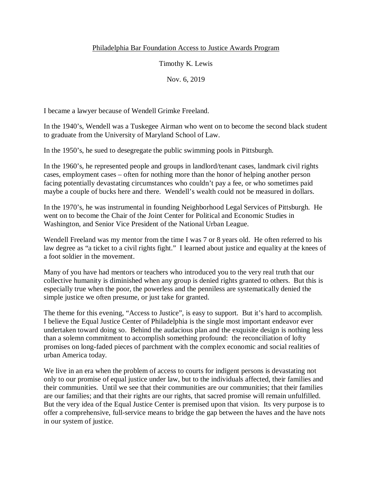## Philadelphia Bar Foundation Access to Justice Awards Program

Timothy K. Lewis

Nov. 6, 2019

I became a lawyer because of Wendell Grimke Freeland.

In the 1940's, Wendell was a Tuskegee Airman who went on to become the second black student to graduate from the University of Maryland School of Law.

In the 1950's, he sued to desegregate the public swimming pools in Pittsburgh.

In the 1960's, he represented people and groups in landlord/tenant cases, landmark civil rights cases, employment cases – often for nothing more than the honor of helping another person facing potentially devastating circumstances who couldn't pay a fee, or who sometimes paid maybe a couple of bucks here and there. Wendell's wealth could not be measured in dollars.

In the 1970's, he was instrumental in founding Neighborhood Legal Services of Pittsburgh. He went on to become the Chair of the Joint Center for Political and Economic Studies in Washington, and Senior Vice President of the National Urban League.

Wendell Freeland was my mentor from the time I was 7 or 8 years old. He often referred to his law degree as "a ticket to a civil rights fight." I learned about justice and equality at the knees of a foot soldier in the movement.

Many of you have had mentors or teachers who introduced you to the very real truth that our collective humanity is diminished when any group is denied rights granted to others. But this is especially true when the poor, the powerless and the penniless are systematically denied the simple justice we often presume, or just take for granted.

The theme for this evening, "Access to Justice", is easy to support. But it's hard to accomplish. I believe the Equal Justice Center of Philadelphia is the single most important endeavor ever undertaken toward doing so. Behind the audacious plan and the exquisite design is nothing less than a solemn commitment to accomplish something profound: the reconciliation of lofty promises on long-faded pieces of parchment with the complex economic and social realities of urban America today.

We live in an era when the problem of access to courts for indigent persons is devastating not only to our promise of equal justice under law, but to the individuals affected, their families and their communities. Until we see that their communities are our communities; that their families are our families; and that their rights are our rights, that sacred promise will remain unfulfilled. But the very idea of the Equal Justice Center is premised upon that vision. Its very purpose is to offer a comprehensive, full-service means to bridge the gap between the haves and the have nots in our system of justice.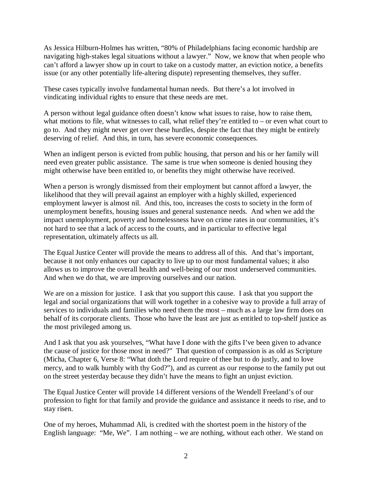As Jessica Hilburn-Holmes has written, "80% of Philadelphians facing economic hardship are navigating high-stakes legal situations without a lawyer." Now, we know that when people who can't afford a lawyer show up in court to take on a custody matter, an eviction notice, a benefits issue (or any other potentially life-altering dispute) representing themselves, they suffer.

These cases typically involve fundamental human needs. But there's a lot involved in vindicating individual rights to ensure that these needs are met.

A person without legal guidance often doesn't know what issues to raise, how to raise them, what motions to file, what witnesses to call, what relief they're entitled to – or even what court to go to. And they might never get over these hurdles, despite the fact that they might be entirely deserving of relief. And this, in turn, has severe economic consequences.

When an indigent person is evicted from public housing, that person and his or her family will need even greater public assistance. The same is true when someone is denied housing they might otherwise have been entitled to, or benefits they might otherwise have received.

When a person is wrongly dismissed from their employment but cannot afford a lawyer, the likelihood that they will prevail against an employer with a highly skilled, experienced employment lawyer is almost nil. And this, too, increases the costs to society in the form of unemployment benefits, housing issues and general sustenance needs. And when we add the impact unemployment, poverty and homelessness have on crime rates in our communities, it's not hard to see that a lack of access to the courts, and in particular to effective legal representation, ultimately affects us all.

The Equal Justice Center will provide the means to address all of this. And that's important, because it not only enhances our capacity to live up to our most fundamental values; it also allows us to improve the overall health and well-being of our most underserved communities. And when we do that, we are improving ourselves and our nation.

We are on a mission for justice. I ask that you support this cause. I ask that you support the legal and social organizations that will work together in a cohesive way to provide a full array of services to individuals and families who need them the most – much as a large law firm does on behalf of its corporate clients. Those who have the least are just as entitled to top-shelf justice as the most privileged among us.

And I ask that you ask yourselves, "What have I done with the gifts I've been given to advance the cause of justice for those most in need?" That question of compassion is as old as Scripture (Micha, Chapter 6, Verse 8: "What doth the Lord require of thee but to do justly, and to love mercy, and to walk humbly with thy God?"), and as current as our response to the family put out on the street yesterday because they didn't have the means to fight an unjust eviction.

The Equal Justice Center will provide 14 different versions of the Wendell Freeland's of our profession to fight for that family and provide the guidance and assistance it needs to rise, and to stay risen.

One of my heroes, Muhammad Ali, is credited with the shortest poem in the history of the English language: "Me, We". I am nothing – we are nothing, without each other. We stand on